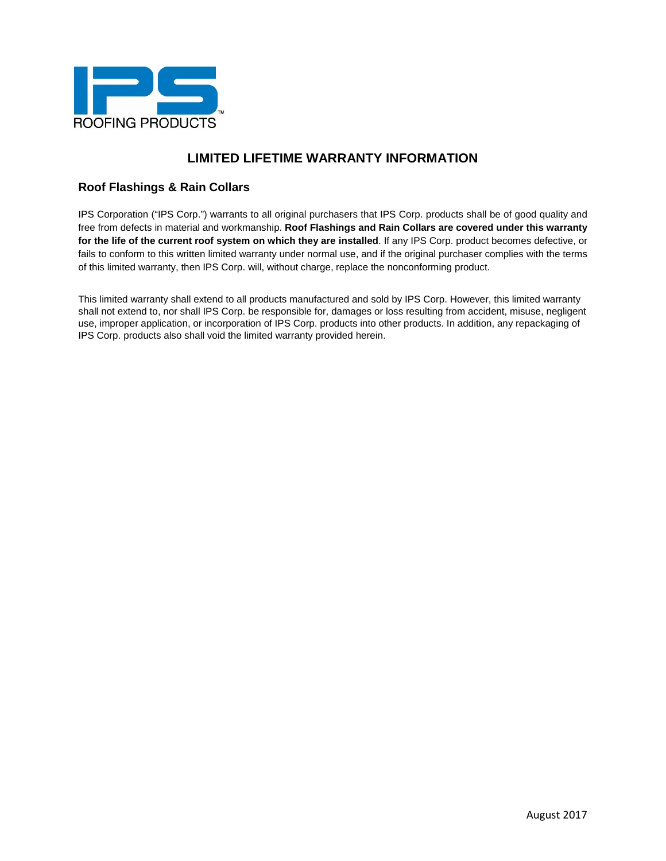

## **Roof Flashings & Rain Collars**

IPS Corporation ("IPS Corp.") warrants to all original purchasers that IPS Corp. products shall be of good quality and free from defects in material and workmanship. **Roof Flashings and Rain Collars are covered under this warranty for the life of the current roof system on which they are installed**. If any IPS Corp. product becomes defective, or fails to conform to this written limited warranty under normal use, and if the original purchaser complies with the terms of this limited warranty, then IPS Corp. will, without charge, replace the nonconforming product.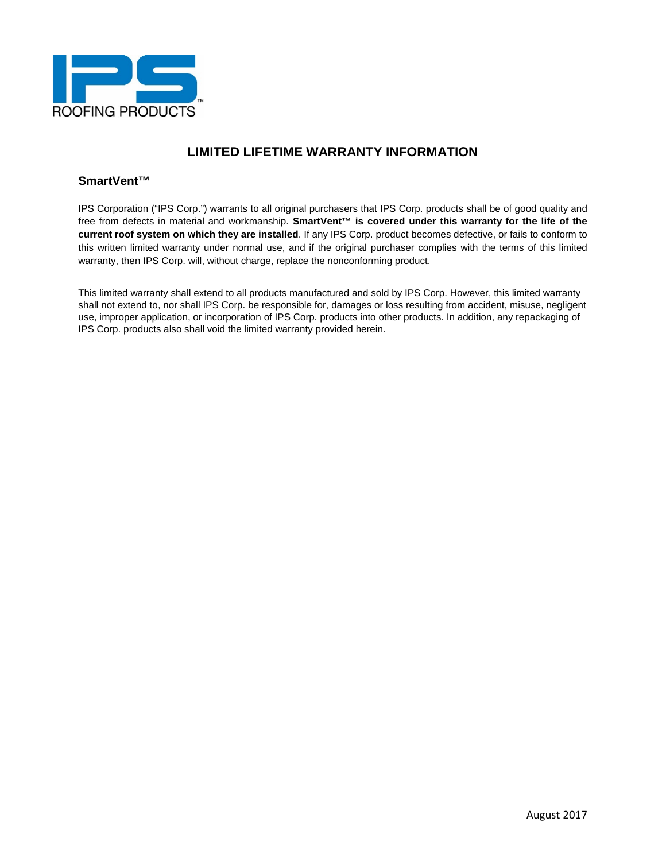

### **SmartVent™**

IPS Corporation ("IPS Corp.") warrants to all original purchasers that IPS Corp. products shall be of good quality and free from defects in material and workmanship. **SmartVent™ is covered under this warranty for the life of the current roof system on which they are installed**. If any IPS Corp. product becomes defective, or fails to conform to this written limited warranty under normal use, and if the original purchaser complies with the terms of this limited warranty, then IPS Corp. will, without charge, replace the nonconforming product.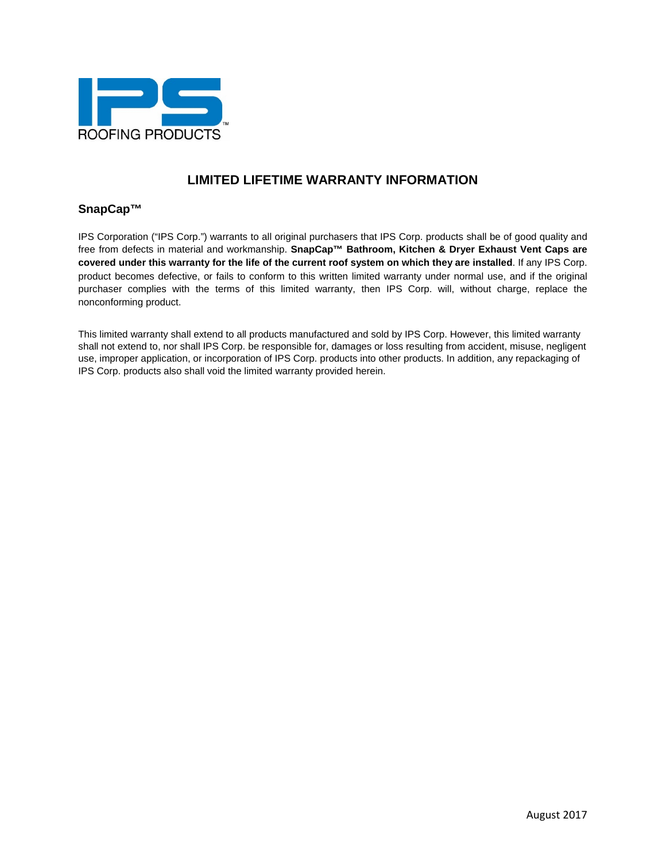

### **SnapCap™**

IPS Corporation ("IPS Corp.") warrants to all original purchasers that IPS Corp. products shall be of good quality and free from defects in material and workmanship. **SnapCap™ Bathroom, Kitchen & Dryer Exhaust Vent Caps are covered under this warranty for the life of the current roof system on which they are installed**. If any IPS Corp. product becomes defective, or fails to conform to this written limited warranty under normal use, and if the original purchaser complies with the terms of this limited warranty, then IPS Corp. will, without charge, replace the nonconforming product.